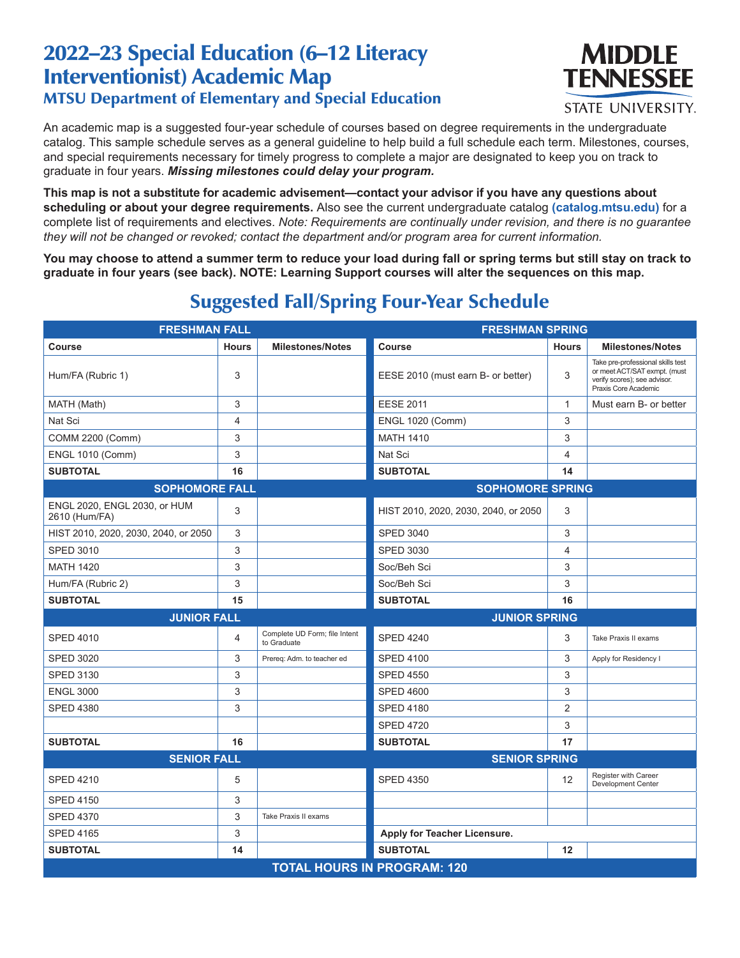## 2022–23 Special Education (6–12 Literacy Interventionist) Academic Map MTSU Department of Elementary and Special Education



**STATE UNIVERSITY.** 

An academic map is a suggested four-year schedule of courses based on degree requirements in the undergraduate catalog. This sample schedule serves as a general guideline to help build a full schedule each term. Milestones, courses, and special requirements necessary for timely progress to complete a major are designated to keep you on track to graduate in four years. *Missing milestones could delay your program.*

**This map is not a substitute for academic advisement—contact your advisor if you have any questions about scheduling or about your degree requirements.** Also see the current undergraduate catalog **(catalog.mtsu.edu)** for a complete list of requirements and electives. *Note: Requirements are continually under revision, and there is no guarantee they will not be changed or revoked; contact the department and/or program area for current information.*

**You may choose to attend a summer term to reduce your load during fall or spring terms but still stay on track to graduate in four years (see back). NOTE: Learning Support courses will alter the sequences on this map.**

| <b>FRESHMAN FALL</b>                          |              |                                              | <b>FRESHMAN SPRING</b>               |              |                                                                                                                           |  |  |
|-----------------------------------------------|--------------|----------------------------------------------|--------------------------------------|--------------|---------------------------------------------------------------------------------------------------------------------------|--|--|
| <b>Course</b>                                 | <b>Hours</b> | <b>Milestones/Notes</b>                      | Course                               | <b>Hours</b> | <b>Milestones/Notes</b>                                                                                                   |  |  |
| Hum/FA (Rubric 1)                             | 3            |                                              | EESE 2010 (must earn B- or better)   | 3            | Take pre-professional skills test<br>or meet ACT/SAT exmpt. (must<br>verify scores); see advisor.<br>Praxis Core Academic |  |  |
| MATH (Math)                                   | 3            |                                              | <b>EESE 2011</b>                     | $\mathbf{1}$ | Must earn B- or better                                                                                                    |  |  |
| Nat Sci                                       | 4            |                                              | <b>ENGL 1020 (Comm)</b>              | 3            |                                                                                                                           |  |  |
| COMM 2200 (Comm)                              | 3            |                                              | <b>MATH 1410</b>                     | 3            |                                                                                                                           |  |  |
| <b>ENGL 1010 (Comm)</b>                       | 3            |                                              | Nat Sci                              | 4            |                                                                                                                           |  |  |
| <b>SUBTOTAL</b>                               | 16           |                                              | <b>SUBTOTAL</b>                      | 14           |                                                                                                                           |  |  |
| <b>SOPHOMORE FALL</b>                         |              |                                              | <b>SOPHOMORE SPRING</b>              |              |                                                                                                                           |  |  |
| ENGL 2020, ENGL 2030, or HUM<br>2610 (Hum/FA) | 3            |                                              | HIST 2010, 2020, 2030, 2040, or 2050 | 3            |                                                                                                                           |  |  |
| HIST 2010, 2020, 2030, 2040, or 2050          | 3            |                                              | <b>SPED 3040</b>                     | 3            |                                                                                                                           |  |  |
| <b>SPED 3010</b>                              | 3            |                                              | <b>SPED 3030</b>                     | 4            |                                                                                                                           |  |  |
| <b>MATH 1420</b>                              | 3            |                                              | Soc/Beh Sci                          | 3            |                                                                                                                           |  |  |
| Hum/FA (Rubric 2)                             | 3            |                                              | Soc/Beh Sci                          | 3            |                                                                                                                           |  |  |
| <b>SUBTOTAL</b>                               | 15           |                                              | <b>SUBTOTAL</b>                      | 16           |                                                                                                                           |  |  |
| <b>JUNIOR FALL</b>                            |              |                                              | <b>JUNIOR SPRING</b>                 |              |                                                                                                                           |  |  |
| <b>SPED 4010</b>                              | 4            | Complete UD Form; file Intent<br>to Graduate | <b>SPED 4240</b>                     | 3            | Take Praxis II exams                                                                                                      |  |  |
| <b>SPED 3020</b>                              | 3            | Prereg: Adm. to teacher ed                   | <b>SPED 4100</b>                     | 3            | Apply for Residency I                                                                                                     |  |  |
| <b>SPED 3130</b>                              | 3            |                                              | <b>SPED 4550</b>                     | 3            |                                                                                                                           |  |  |
| <b>ENGL 3000</b>                              | 3            |                                              | <b>SPED 4600</b>                     | 3            |                                                                                                                           |  |  |
| <b>SPED 4380</b>                              | 3            |                                              | <b>SPED 4180</b>                     | 2            |                                                                                                                           |  |  |
|                                               |              |                                              | <b>SPED 4720</b>                     | 3            |                                                                                                                           |  |  |
| <b>SUBTOTAL</b>                               | 16           |                                              | <b>SUBTOTAL</b>                      | 17           |                                                                                                                           |  |  |
| <b>SENIOR FALL</b>                            |              | <b>SENIOR SPRING</b>                         |                                      |              |                                                                                                                           |  |  |
| <b>SPED 4210</b>                              | 5            |                                              | <b>SPED 4350</b>                     | 12           | Register with Career<br>Development Center                                                                                |  |  |
| <b>SPED 4150</b>                              | 3            |                                              |                                      |              |                                                                                                                           |  |  |
| <b>SPED 4370</b>                              | 3            | Take Praxis II exams                         |                                      |              |                                                                                                                           |  |  |
| <b>SPED 4165</b>                              | 3            |                                              | Apply for Teacher Licensure.         |              |                                                                                                                           |  |  |
| <b>SUBTOTAL</b>                               | 14           |                                              | <b>SUBTOTAL</b>                      | 12           |                                                                                                                           |  |  |
| <b>TOTAL HOURS IN PROGRAM: 120</b>            |              |                                              |                                      |              |                                                                                                                           |  |  |

## Suggested Fall/Spring Four-Year Schedule